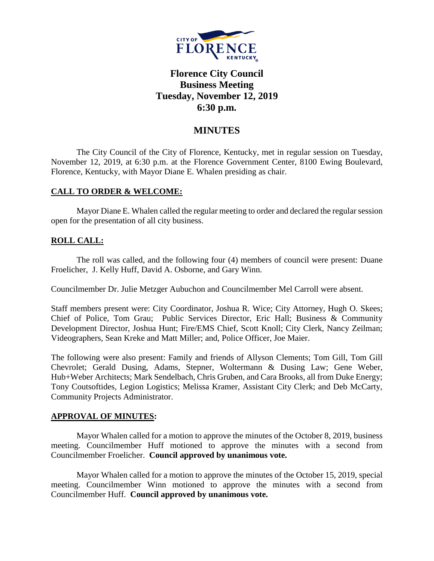

# **Florence City Council Business Meeting Tuesday, November 12, 2019 6:30 p.m.**

## **MINUTES**

The City Council of the City of Florence, Kentucky, met in regular session on Tuesday, November 12, 2019, at 6:30 p.m. at the Florence Government Center, 8100 Ewing Boulevard, Florence, Kentucky, with Mayor Diane E. Whalen presiding as chair.

### **CALL TO ORDER & WELCOME:**

Mayor Diane E. Whalen called the regular meeting to order and declared the regular session open for the presentation of all city business.

## **ROLL CALL:**

The roll was called, and the following four (4) members of council were present: Duane Froelicher, J. Kelly Huff, David A. Osborne, and Gary Winn.

Councilmember Dr. Julie Metzger Aubuchon and Councilmember Mel Carroll were absent.

Staff members present were: City Coordinator, Joshua R. Wice; City Attorney, Hugh O. Skees; Chief of Police, Tom Grau; Public Services Director, Eric Hall; Business & Community Development Director, Joshua Hunt; Fire/EMS Chief, Scott Knoll; City Clerk, Nancy Zeilman; Videographers, Sean Kreke and Matt Miller; and, Police Officer, Joe Maier.

The following were also present: Family and friends of Allyson Clements; Tom Gill, Tom Gill Chevrolet; Gerald Dusing, Adams, Stepner, Woltermann & Dusing Law; Gene Weber, Hub+Weber Architects; Mark Sendelbach, Chris Gruben, and Cara Brooks, all from Duke Energy; Tony Coutsoftides, Legion Logistics; Melissa Kramer, Assistant City Clerk; and Deb McCarty, Community Projects Administrator.

#### **APPROVAL OF MINUTES:**

Mayor Whalen called for a motion to approve the minutes of the October 8, 2019, business meeting. Councilmember Huff motioned to approve the minutes with a second from Councilmember Froelicher. **Council approved by unanimous vote.**

Mayor Whalen called for a motion to approve the minutes of the October 15, 2019, special meeting. Councilmember Winn motioned to approve the minutes with a second from Councilmember Huff. **Council approved by unanimous vote.**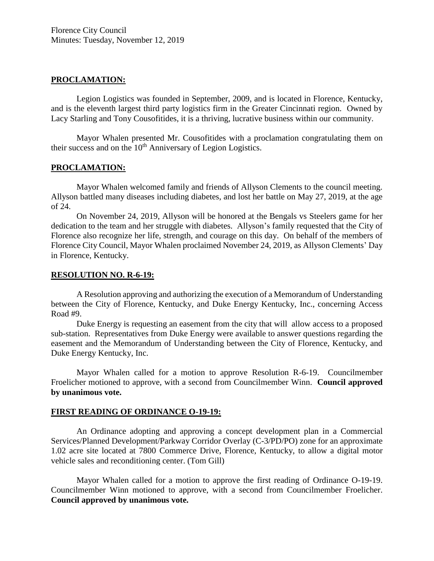### **PROCLAMATION:**

Legion Logistics was founded in September, 2009, and is located in Florence, Kentucky, and is the eleventh largest third party logistics firm in the Greater Cincinnati region. Owned by Lacy Starling and Tony Cousofitides, it is a thriving, lucrative business within our community.

Mayor Whalen presented Mr. Cousofitides with a proclamation congratulating them on their success and on the 10<sup>th</sup> Anniversary of Legion Logistics.

#### **PROCLAMATION:**

Mayor Whalen welcomed family and friends of Allyson Clements to the council meeting. Allyson battled many diseases including diabetes, and lost her battle on May 27, 2019, at the age of 24.

On November 24, 2019, Allyson will be honored at the Bengals vs Steelers game for her dedication to the team and her struggle with diabetes. Allyson's family requested that the City of Florence also recognize her life, strength, and courage on this day. On behalf of the members of Florence City Council, Mayor Whalen proclaimed November 24, 2019, as Allyson Clements' Day in Florence, Kentucky.

#### **RESOLUTION NO. R-6-19:**

A Resolution approving and authorizing the execution of a Memorandum of Understanding between the City of Florence, Kentucky, and Duke Energy Kentucky, Inc., concerning Access Road #9.

Duke Energy is requesting an easement from the city that will allow access to a proposed sub-station. Representatives from Duke Energy were available to answer questions regarding the easement and the Memorandum of Understanding between the City of Florence, Kentucky, and Duke Energy Kentucky, Inc.

Mayor Whalen called for a motion to approve Resolution R-6-19. Councilmember Froelicher motioned to approve, with a second from Councilmember Winn. **Council approved by unanimous vote.**

## **FIRST READING OF ORDINANCE O-19-19:**

An Ordinance adopting and approving a concept development plan in a Commercial Services/Planned Development/Parkway Corridor Overlay (C-3/PD/PO) zone for an approximate 1.02 acre site located at 7800 Commerce Drive, Florence, Kentucky, to allow a digital motor vehicle sales and reconditioning center. (Tom Gill)

Mayor Whalen called for a motion to approve the first reading of Ordinance O-19-19. Councilmember Winn motioned to approve, with a second from Councilmember Froelicher. **Council approved by unanimous vote.**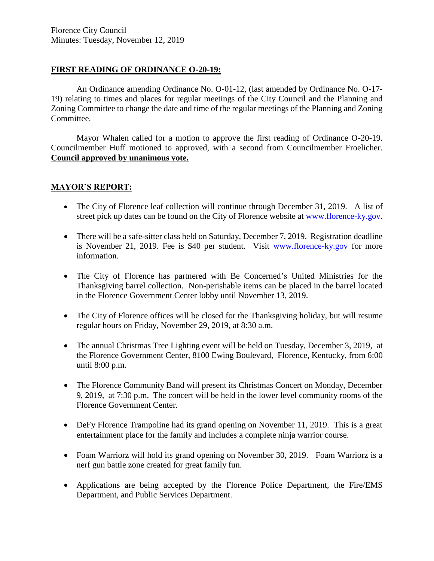## **FIRST READING OF ORDINANCE O-20-19:**

An Ordinance amending Ordinance No. O-01-12, (last amended by Ordinance No. O-17- 19) relating to times and places for regular meetings of the City Council and the Planning and Zoning Committee to change the date and time of the regular meetings of the Planning and Zoning Committee.

Mayor Whalen called for a motion to approve the first reading of Ordinance O-20-19. Councilmember Huff motioned to approved, with a second from Councilmember Froelicher. **Council approved by unanimous vote.**

## **MAYOR'S REPORT:**

- The City of Florence leaf collection will continue through December 31, 2019. A list of street pick up dates can be found on the City of Florence website at [www.florence-ky.gov.](http://www.florence-ky.gov/)
- There will be a safe-sitter class held on Saturday, December 7, 2019. Registration deadline is November 21, 2019. Fee is \$40 per student. Visit [www.florence-ky.gov](http://www.florence-ky.gov/) for more information.
- The City of Florence has partnered with Be Concerned's United Ministries for the Thanksgiving barrel collection. Non-perishable items can be placed in the barrel located in the Florence Government Center lobby until November 13, 2019.
- The City of Florence offices will be closed for the Thanksgiving holiday, but will resume regular hours on Friday, November 29, 2019, at 8:30 a.m.
- The annual Christmas Tree Lighting event will be held on Tuesday, December 3, 2019, at the Florence Government Center, 8100 Ewing Boulevard, Florence, Kentucky, from 6:00 until 8:00 p.m.
- The Florence Community Band will present its Christmas Concert on Monday, December 9, 2019, at 7:30 p.m. The concert will be held in the lower level community rooms of the Florence Government Center.
- DeFy Florence Trampoline had its grand opening on November 11, 2019. This is a great entertainment place for the family and includes a complete ninja warrior course.
- Foam Warriorz will hold its grand opening on November 30, 2019. Foam Warriorz is a nerf gun battle zone created for great family fun.
- Applications are being accepted by the Florence Police Department, the Fire/EMS Department, and Public Services Department.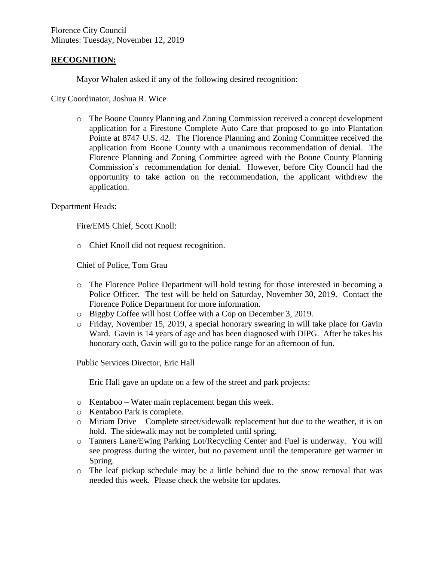### **RECOGNITION:**

Mayor Whalen asked if any of the following desired recognition:

City Coordinator, Joshua R. Wice

o The Boone County Planning and Zoning Commission received a concept development application for a Firestone Complete Auto Care that proposed to go into Plantation Pointe at 8747 U.S. 42. The Florence Planning and Zoning Committee received the application from Boone County with a unanimous recommendation of denial. The Florence Planning and Zoning Committee agreed with the Boone County Planning Commission's recommendation for denial. However, before City Council had the opportunity to take action on the recommendation, the applicant withdrew the application.

#### Department Heads:

Fire/EMS Chief, Scott Knoll:

o Chief Knoll did not request recognition.

Chief of Police, Tom Grau

- o The Florence Police Department will hold testing for those interested in becoming a Police Officer. The test will be held on Saturday, November 30, 2019. Contact the Florence Police Department for more information.
- o Biggby Coffee will host Coffee with a Cop on December 3, 2019.
- o Friday, November 15, 2019, a special honorary swearing in will take place for Gavin Ward. Gavin is 14 years of age and has been diagnosed with DIPG. After he takes his honorary oath, Gavin will go to the police range for an afternoon of fun.

Public Services Director, Eric Hall

Eric Hall gave an update on a few of the street and park projects:

- o Kentaboo Water main replacement began this week.
- o Kentaboo Park is complete.
- o Miriam Drive Complete street/sidewalk replacement but due to the weather, it is on hold. The sidewalk may not be completed until spring.
- o Tanners Lane/Ewing Parking Lot/Recycling Center and Fuel is underway. You will see progress during the winter, but no pavement until the temperature get warmer in Spring.
- o The leaf pickup schedule may be a little behind due to the snow removal that was needed this week. Please check the website for updates.